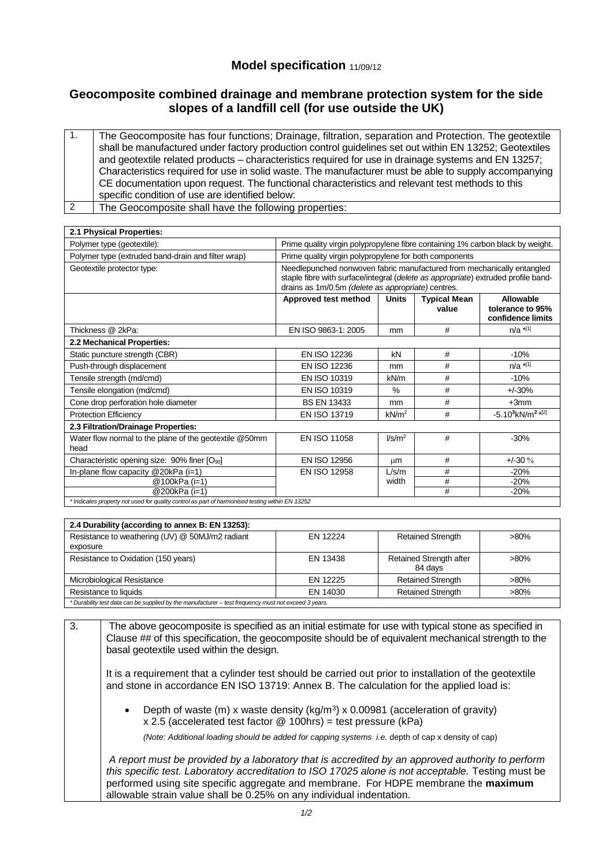## **Model specification** 11/09/12

## **Geocomposite combined drainage and membrane protection system for the side slopes of a landfill cell (for use outside the UK)**

| The Geocomposite has four functions; Drainage, filtration, separation and Protection. The geotextile<br>shall be manufactured under factory production control guidelines set out within EN 13252; Geotextiles<br>and geotextile related products – characteristics required for use in drainage systems and EN 13257;<br>Characteristics required for use in solid waste. The manufacturer must be able to supply accompanying<br>CE documentation upon request. The functional characteristics and relevant test methods to this<br>specific condition of use are identified below: |
|---------------------------------------------------------------------------------------------------------------------------------------------------------------------------------------------------------------------------------------------------------------------------------------------------------------------------------------------------------------------------------------------------------------------------------------------------------------------------------------------------------------------------------------------------------------------------------------|
| The Geocomposite shall have the following properties:                                                                                                                                                                                                                                                                                                                                                                                                                                                                                                                                 |

| 2.1 Physical Properties:                                                                        |                                                                                                                                                                                                                   |                    |                              |                                                    |  |
|-------------------------------------------------------------------------------------------------|-------------------------------------------------------------------------------------------------------------------------------------------------------------------------------------------------------------------|--------------------|------------------------------|----------------------------------------------------|--|
| Polymer type (geotextile):                                                                      | Prime quality virgin polypropylene fibre containing 1% carbon black by weight.                                                                                                                                    |                    |                              |                                                    |  |
| Polymer type (extruded band-drain and filter wrap)                                              | Prime quality virgin polypropylene for both components                                                                                                                                                            |                    |                              |                                                    |  |
| Geotextile protector type:                                                                      | Needlepunched nonwoven fabric manufactured from mechanically entangled<br>staple fibre with surface/integral (delete as appropriate) extruded profile band-<br>drains as 1m/0.5m (delete as appropriate) centres. |                    |                              |                                                    |  |
|                                                                                                 | Approved test method                                                                                                                                                                                              | <b>Units</b>       | <b>Typical Mean</b><br>value | Allowable<br>tolerance to 95%<br>confidence limits |  |
| Thickness @ 2kPa:                                                                               | EN ISO 9863-1: 2005                                                                                                                                                                                               | mm                 | #                            | $n/a$ *[1]                                         |  |
| 2.2 Mechanical Properties:                                                                      |                                                                                                                                                                                                                   |                    |                              |                                                    |  |
| Static puncture strength (CBR)                                                                  | <b>EN ISO 12236</b>                                                                                                                                                                                               | kN                 | #                            | $-10%$                                             |  |
| Push-through displacement                                                                       | EN ISO 12236                                                                                                                                                                                                      | mm                 | #                            | $n/a$ *[1]                                         |  |
| Tensile strength (md/cmd)                                                                       | EN ISO 10319                                                                                                                                                                                                      | kN/m               | #                            | $-10%$                                             |  |
| Tensile elongation (md/cmd)                                                                     | EN ISO 10319                                                                                                                                                                                                      | $\%$               | #                            | $+/-30%$                                           |  |
| Cone drop perforation hole diameter                                                             | <b>BS EN 13433</b>                                                                                                                                                                                                | mm                 | #                            | $+3mm$                                             |  |
| <b>Protection Efficiency</b>                                                                    | EN ISO 13719                                                                                                                                                                                                      | kN/m <sup>2</sup>  | #                            | $-5.10^{3}$ kN/m <sup>2 *[2]</sup>                 |  |
| 2.3 Filtration/Drainage Properties:                                                             |                                                                                                                                                                                                                   |                    |                              |                                                    |  |
| Water flow normal to the plane of the geotextile @50mm<br>head                                  | EN ISO 11058                                                                                                                                                                                                      | I/s/m <sup>2</sup> | #                            | $-30%$                                             |  |
| Characteristic opening size: $90\%$ finer $[O_{90}]$                                            | EN ISO 12956                                                                                                                                                                                                      | μm                 | #                            | $+/-30%$                                           |  |
| In-plane flow capacity $@20kPa$ (i=1)                                                           | EN ISO 12958                                                                                                                                                                                                      | L/s/m              | #                            | $-20%$                                             |  |
| @100kPa (i=1)                                                                                   |                                                                                                                                                                                                                   | width              | #                            | $-20%$                                             |  |
| @200kPa (i=1)                                                                                   |                                                                                                                                                                                                                   |                    | #                            | $-20%$                                             |  |
| * Indicates property not used for quality control as part of harmonised testing within EN 13252 |                                                                                                                                                                                                                   |                    |                              |                                                    |  |

| 2.4 Durability (according to annex B: EN 13253):                                                     |          |                                    |         |  |  |  |
|------------------------------------------------------------------------------------------------------|----------|------------------------------------|---------|--|--|--|
| Resistance to weathering (UV) @ 50MJ/m2 radiant                                                      | FN 12224 | <b>Retained Strength</b>           | $>80\%$ |  |  |  |
| exposure                                                                                             |          |                                    |         |  |  |  |
| Resistance to Oxidation (150 years)                                                                  | EN 13438 | Retained Strength after<br>84 davs | $>80\%$ |  |  |  |
| Microbiological Resistance                                                                           | EN 12225 | <b>Retained Strength</b>           | $>80\%$ |  |  |  |
| Resistance to liquids                                                                                | EN 14030 | <b>Retained Strength</b>           | $>80\%$ |  |  |  |
| * Durability test data can be supplied by the manufacturer – test frequency must not exceed 3 years. |          |                                    |         |  |  |  |

3. The above geocomposite is specified as an initial estimate for use with typical stone as specified in Clause ## of this specification, the geocomposite should be of equivalent mechanical strength to the basal geotextile used within the design.

It is a requirement that a cylinder test should be carried out prior to installation of the geotextile and stone in accordance EN ISO 13719: Annex B. The calculation for the applied load is:

• Depth of waste (m) x waste density  $(kg/m<sup>3</sup>) \times 0.00981$  (acceleration of gravity) x 2.5 (accelerated test factor @ 100hrs) = test pressure (kPa)

*(Note: Additional loading should be added for capping systems i.e.* depth of cap x density of cap)

*A report must be provided by a laboratory that is accredited by an approved authority to perform this specific test. Laboratory accreditation to ISO 17025 alone is not acceptable.* Testing must be performed using site specific aggregate and membrane. For HDPE membrane the **maximum** allowable strain value shall be 0.25% on any individual indentation.